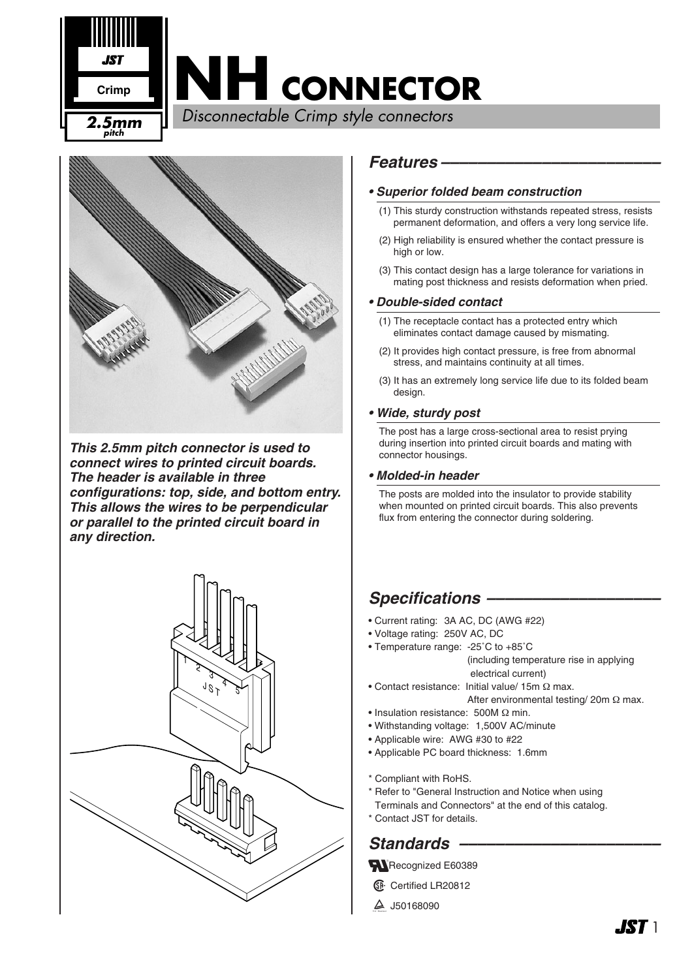



*This 2.5mm pitch connector is used to connect wires to printed circuit boards. The header is available in three configurations: top, side, and bottom entry. This allows the wires to be perpendicular or parallel to the printed circuit board in any direction.*



### *Features ––––––––––––––––––––––––*

#### *• Superior folded beam construction*

- (1) This sturdy construction withstands repeated stress, resists permanent deformation, and offers a very long service life.
- (2) High reliability is ensured whether the contact pressure is high or low.
- (3) This contact design has a large tolerance for variations in mating post thickness and resists deformation when pried.

### *• Double-sided contact*

- (1) The receptacle contact has a protected entry which eliminates contact damage caused by mismating.
- (2) It provides high contact pressure, is free from abnormal stress, and maintains continuity at all times.
- (3) It has an extremely long service life due to its folded beam design.

#### *• Wide, sturdy post*

The post has a large cross-sectional area to resist prying during insertion into printed circuit boards and mating with connector housings.

#### *• Molded-in header*

The posts are molded into the insulator to provide stability when mounted on printed circuit boards. This also prevents flux from entering the connector during soldering.

## *Specifications –––––––––––––––––––*

- Current rating: 3A AC, DC (AWG #22)
- Voltage rating: 250V AC, DC
- Temperature range: -25˚C to +85˚C (including temperature rise in applying electrical current)
- Contact resistance: Initial value/ 15m Ω max.
	- After environmental testing/ 20m Ω max.
- Insulation resistance: 500M Ω min.
- Withstanding voltage: 1,500V AC/minute
- Applicable wire: AWG #30 to #22
- Applicable PC board thickness: 1.6mm
- \* Compliant with RoHS.
- \* Refer to "General Instruction and Notice when using
- Terminals and Connectors" at the end of this catalog.
- \* Contact JST for details.

## Standards –

Recognized E60389

- **1.** Certified LR20812
- $4$  J50168090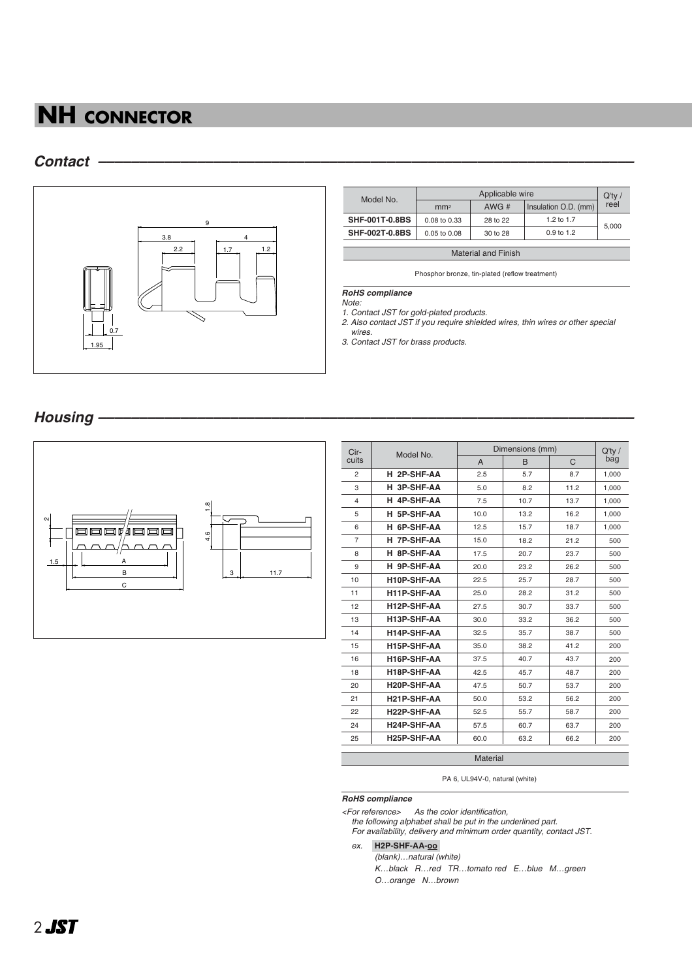## *Contact –––––––––––––––––––––––––––––––––––––––––––––––––––––––––––––––––*



| Model No.                  | Applicable wire  |          |                      |       |  |
|----------------------------|------------------|----------|----------------------|-------|--|
|                            | mm <sup>2</sup>  | AWG#     | Insulation O.D. (mm) | reel  |  |
| <b>SHF-001T-0.8BS</b>      | 0.08 to 0.33     | 28 to 22 | 1.2 to 1.7           |       |  |
| <b>SHF-002T-0.8BS</b>      | $0.05$ to $0.08$ | 30 to 28 | $0.9$ to 1.2         | 5.000 |  |
|                            |                  |          |                      |       |  |
| <b>Material and Finish</b> |                  |          |                      |       |  |

Phosphor bronze, tin-plated (reflow treatment)

*RoHS compliance*

*Note: 1. Contact JST for gold-plated products.* 

*2. Also contact JST if you require shielded wires, thin wires or other special* 

*wires.*

*3. Contact JST for brass products.*

## *Housing –––––––––––––––––––––––––––––––––––––––––––––––––––––––––––––––––*



| Cir-           | Model No.   | Dimensions (mm) | $Q'$ ty / |      |       |
|----------------|-------------|-----------------|-----------|------|-------|
| cuits          |             | $\mathsf{A}$    | B         | C    | bag   |
| 2              | H 2P-SHF-AA | 2.5             | 5.7       | 8.7  | 1,000 |
| 3              | H 3P-SHF-AA | 5.0             | 8.2       | 11.2 | 1,000 |
| $\overline{4}$ | H 4P-SHF-AA | 7.5             | 10.7      | 13.7 | 1.000 |
| 5              | H 5P-SHF-AA | 10.0            | 13.2      | 16.2 | 1,000 |
| 6              | H 6P-SHF-AA | 12.5            | 15.7      | 18.7 | 1,000 |
| 7              | H 7P-SHF-AA | 15.0            | 18.2      | 21.2 | 500   |
| 8              | H 8P-SHF-AA | 17.5            | 20.7      | 23.7 | 500   |
| 9              | H 9P-SHF-AA | 20.0            | 23.2      | 26.2 | 500   |
| 10             | H10P-SHF-AA | 22.5            | 25.7      | 28.7 | 500   |
| 11             | H11P-SHF-AA | 25.0            | 28.2      | 31.2 | 500   |
| 12             | H12P-SHF-AA | 27.5            | 30.7      | 33.7 | 500   |
| 13             | H13P-SHF-AA | 30.0            | 33.2      | 36.2 | 500   |
| 14             | H14P-SHF-AA | 32.5            | 35.7      | 38.7 | 500   |
| 15             | H15P-SHF-AA | 35.0            | 38.2      | 41.2 | 200   |
| 16             | H16P-SHF-AA | 37.5            | 40.7      | 43.7 | 200   |
| 18             | H18P-SHF-AA | 42.5            | 45.7      | 48.7 | 200   |
| 20             | H20P-SHF-AA | 47.5            | 50.7      | 53.7 | 200   |
| 21             | H21P-SHF-AA | 50.0            | 53.2      | 56.2 | 200   |
| 22             | H22P-SHF-AA | 52.5            | 55.7      | 58.7 | 200   |
| 24             | H24P-SHF-AA | 57.5            | 60.7      | 63.7 | 200   |
| 25             | H25P-SHF-AA | 60.0            | 63.2      | 66.2 | 200   |
| Material       |             |                 |           |      |       |

PA 6, UL94V-0, natural (white)

#### *RoHS compliance*

*<For reference> As the color identification,* 

*the following alphabet shall be put in the underlined part. For availability, delivery and minimum order quantity, contact JST.*

#### *ex.* **H2P-SHF-AA-oo-**

*(blank)…natural (white) K…black R…red TR…tomato red E…blue M…green O…orange N…brown*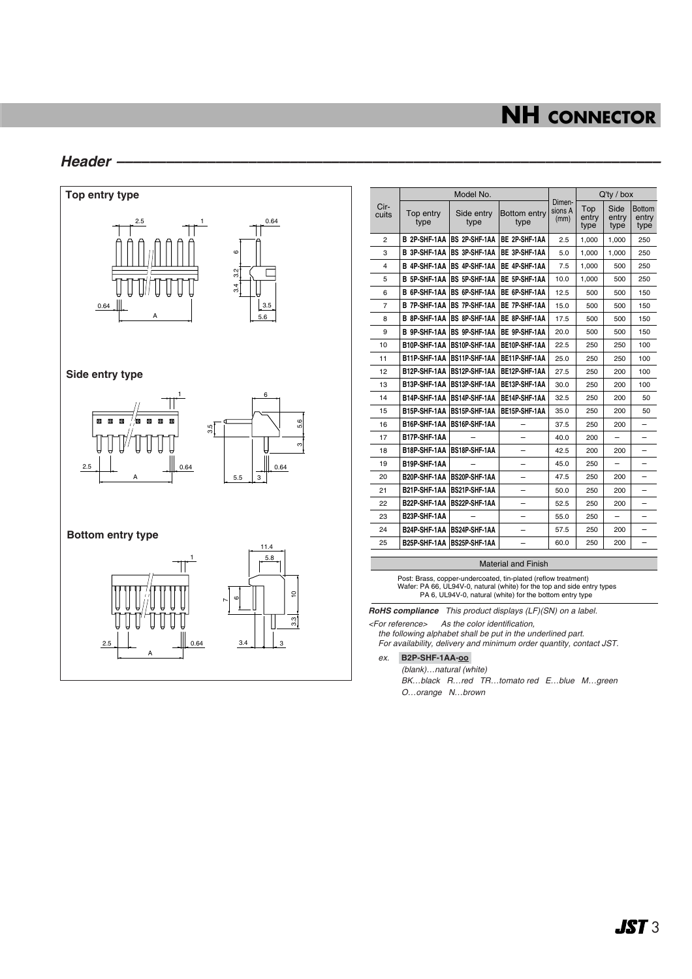### *Header ––––––––––––––––––––––––––––––––––––––––––––––––––––––––––––––––––*



| Cir-<br>cuits  | Model No.           |                      |                      |                           | $Q'$ ty / box        |                       |                                |
|----------------|---------------------|----------------------|----------------------|---------------------------|----------------------|-----------------------|--------------------------------|
|                | Top entry<br>type   | Side entry<br>type   | Bottom entry<br>type | Dimen-<br>sions A<br>(mm) | Top<br>entry<br>type | Side<br>entry<br>type | <b>Bottom</b><br>entry<br>type |
| $\overline{2}$ | B 2P-SHF-1AA        | BS 2P-SHF-1AA        | BE 2P-SHF-1AA        | 2.5                       | 1,000                | 1,000                 | 250                            |
| 3              | B 3P-SHF-1AA        | BS 3P-SHF-1AA        | BE 3P-SHF-1AA        | 5.0                       | 1.000                | 1.000                 | 250                            |
| 4              | <b>B 4P-SHF-1AA</b> | BS 4P-SHF-1AA        | BE 4P-SHF-1AA        | 7.5                       | 1,000                | 500                   | 250                            |
| 5              | B 5P-SHF-1AA        | BS 5P-SHF-1AA        | BE 5P-SHF-1AA        | 10.0                      | 1,000                | 500                   | 250                            |
| 6              | B 6P-SHF-1AA        | <b>BS 6P-SHF-1AA</b> | BE 6P-SHF-1AA        | 12.5                      | 500                  | 500                   | 150                            |
| 7              | <b>B 7P-SHF-1AA</b> | BS 7P-SHF-1AA        | <b>BE 7P-SHF-1AA</b> | 15.0                      | 500                  | 500                   | 150                            |
| 8              | <b>B 8P-SHF-1AA</b> | BS 8P-SHF-1AA        | BE 8P-SHF-1AA        | 17.5                      | 500                  | 500                   | 150                            |
| 9              | <b>B 9P-SHF-1AA</b> | BS 9P-SHF-1AA        | BE 9P-SHF-1AA        | 20.0                      | 500                  | 500                   | 150                            |
| 10             | B10P-SHF-1AA        | BS10P-SHF-1AA        | BE10P-SHF-1AA        | 22.5                      | 250                  | 250                   | 100                            |
| 11             | B11P-SHF-1AA        | <b>BS11P-SHF-1AA</b> | BE11P-SHF-1AA        | 25.0                      | 250                  | 250                   | 100                            |
| 12             | B12P-SHF-1AA        | BS12P-SHF-1AA        | BE12P-SHF-1AA        | 27.5                      | 250                  | 200                   | 100                            |
| 13             | B13P-SHF-1AA        | BS13P-SHF-1AA        | BE13P-SHF-1AA        | 30.0                      | 250                  | 200                   | 100                            |
| 14             | B14P-SHF-1AA        | BS14P-SHF-1AA        | BE14P-SHF-1AA        | 32.5                      | 250                  | 200                   | 50                             |
| 15             | B15P-SHF-1AA        | BS15P-SHF-1AA        | BE15P-SHF-1AA        | 35.0                      | 250                  | 200                   | 50                             |
| 16             | B16P-SHF-1AA        | BS16P-SHF-1AA        |                      | 37.5                      | 250                  | 200                   | -                              |
| 17             | B17P-SHF-1AA        |                      |                      | 40.0                      | 200                  |                       | -                              |
| 18             | B18P-SHF-1AA        | BS18P-SHF-1AA        |                      | 42.5                      | 200                  | 200                   |                                |
| 19             | B19P-SHF-1AA        |                      |                      | 45.0                      | 250                  |                       |                                |
| 20             | B20P-SHF-1AA        | BS20P-SHF-1AA        |                      | 47.5                      | 250                  | 200                   | -                              |
| 21             | B21P-SHF-1AA        | BS21P-SHF-1AA        |                      | 50.0                      | 250                  | 200                   |                                |
| 22             | B22P-SHF-1AA        | BS22P-SHF-1AA        |                      | 52.5                      | 250                  | 200                   |                                |
| 23             | B23P-SHF-1AA        |                      |                      | 55.0                      | 250                  |                       |                                |
| 24             | B24P-SHF-1AA        | BS24P-SHF-1AA        |                      | 57.5                      | 250                  | 200                   |                                |
| 25             | B25P-SHF-1AA        | BS25P-SHF-1AA        |                      | 60.0                      | 250                  | 200                   |                                |

#### Material and Finish

Post: Brass, copper-undercoated, tin-plated (reflow treatment) Wafer: PA 66, UL94V-0, natural (white) for the top and side entry types PA 6, UL94V-0, natural (white) for the bottom entry type

*RoHS compliance This product displays (LF)(SN) on a label.*

*<For reference> As the color identification,* 

*the following alphabet shall be put in the underlined part. For availability, delivery and minimum order quantity, contact JST.*

*ex.* **B2P-SHF-1AA-oo-**

*(blank)…natural (white)*

*BK…black R…red TR…tomato red E…blue M…green O…orange N…brown*